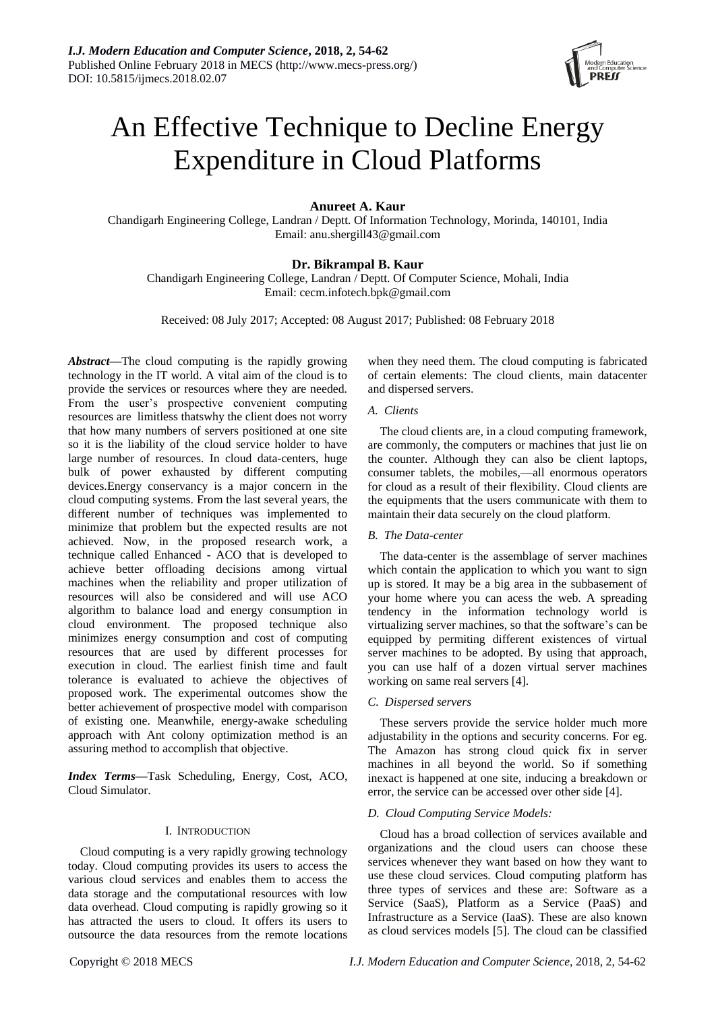

# An Effective Technique to Decline Energy Expenditure in Cloud Platforms

# **Anureet A. Kaur**

Chandigarh Engineering College, Landran / Deptt. Of Information Technology, Morinda, 140101, India Email: anu.shergill43@gmail.com

# **Dr. Bikrampal B. Kaur**

Chandigarh Engineering College, Landran / Deptt. Of Computer Science, Mohali, India Email: cecm.infotech.bpk@gmail.com

Received: 08 July 2017; Accepted: 08 August 2017; Published: 08 February 2018

*Abstract***—**The cloud computing is the rapidly growing technology in the IT world. A vital aim of the cloud is to provide the services or resources where they are needed. From the user's prospective convenient computing resources are limitless thatswhy the client does not worry that how many numbers of servers positioned at one site so it is the liability of the cloud service holder to have large number of resources. In cloud data-centers, huge bulk of power exhausted by different computing devices.Energy conservancy is a major concern in the cloud computing systems. From the last several years, the different number of techniques was implemented to minimize that problem but the expected results are not achieved. Now, in the proposed research work, a technique called Enhanced - ACO that is developed to achieve better offloading decisions among virtual machines when the reliability and proper utilization of resources will also be considered and will use ACO algorithm to balance load and energy consumption in cloud environment. The proposed technique also minimizes energy consumption and cost of computing resources that are used by different processes for execution in cloud. The earliest finish time and fault tolerance is evaluated to achieve the objectives of proposed work. The experimental outcomes show the better achievement of prospective model with comparison of existing one. Meanwhile, energy-awake scheduling approach with Ant colony optimization method is an assuring method to accomplish that objective.

*Index Terms***—**Task Scheduling, Energy, Cost, ACO, Cloud Simulator.

# I. INTRODUCTION

Cloud computing is a very rapidly growing technology today. Cloud computing provides its users to access the various cloud services and enables them to access the data storage and the computational resources with low data overhead. Cloud computing is rapidly growing so it has attracted the users to cloud. It offers its users to outsource the data resources from the remote locations

when they need them. The cloud computing is fabricated of certain elements: The cloud clients, main datacenter and dispersed servers.

# *A. Clients*

The cloud clients are, in a cloud computing framework, are commonly, the computers or machines that just lie on the counter. Although they can also be client laptops, consumer tablets, the mobiles,—all enormous operators for cloud as a result of their flexibility. Cloud clients are the equipments that the users communicate with them to maintain their data securely on the cloud platform.

### *B. The Data-center*

The data-center is the assemblage of server machines which contain the application to which you want to sign up is stored. It may be a big area in the subbasement of your home where you can acess the web. A spreading tendency in the information technology world is virtualizing server machines, so that the software's can be equipped by permiting different existences of virtual server machines to be adopted. By using that approach, you can use half of a dozen virtual server machines working on same real servers [4].

# *C. Dispersed servers*

These servers provide the service holder much more adjustability in the options and security concerns. For eg. The Amazon has strong cloud quick fix in server machines in all beyond the world. So if something inexact is happened at one site, inducing a breakdown or error, the service can be accessed over other side [4].

# *D. Cloud Computing Service Models:*

Cloud has a broad collection of services available and organizations and the cloud users can choose these services whenever they want based on how they want to use these cloud services. Cloud computing platform has three types of services and these are: Software as a Service (SaaS), Platform as a Service (PaaS) and Infrastructure as a Service (IaaS). These are also known as cloud services models [5]. The cloud can be classified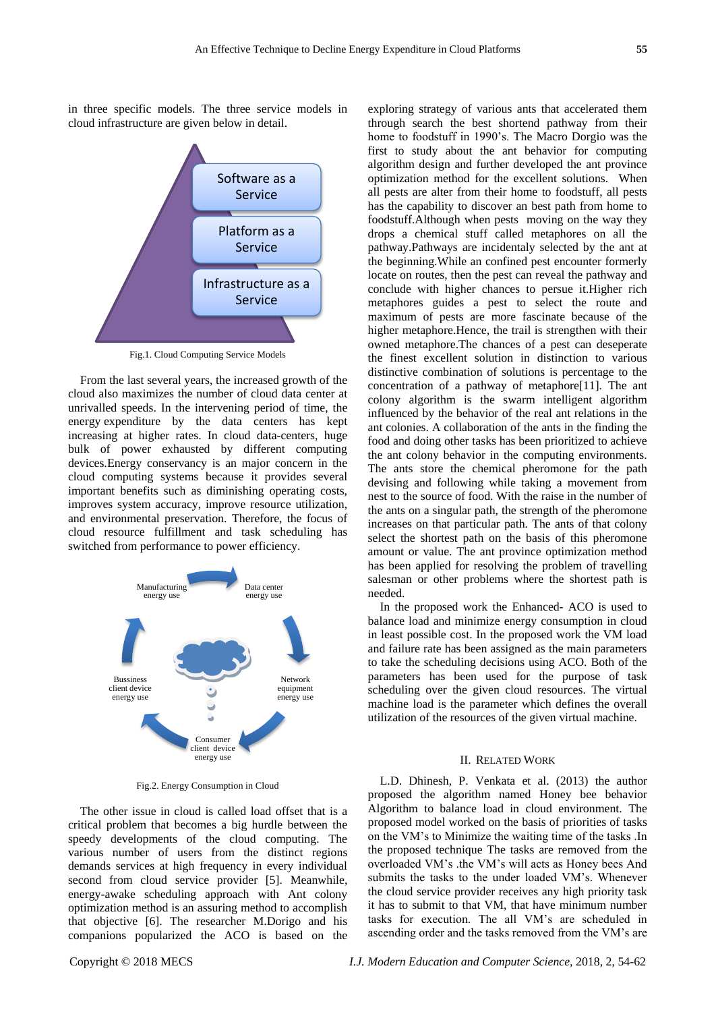in three specific models. The three service models in cloud infrastructure are given below in detail.



Fig.1. Cloud Computing Service Models

From the last several years, the increased growth of the cloud also maximizes the number of cloud data center at unrivalled speeds. In the intervening period of time, the energy expenditure by the data centers has kept increasing at higher rates. In cloud data-centers, huge bulk of power exhausted by different computing devices.Energy conservancy is an major concern in the cloud computing systems because it provides several important benefits such as diminishing operating costs, improves system accuracy, improve resource utilization, and environmental preservation. Therefore, the focus of cloud resource fulfillment and task scheduling has switched from performance to power efficiency.



Fig.2. Energy Consumption in Cloud

The other issue in cloud is called load offset that is a critical problem that becomes a big hurdle between the speedy developments of the cloud computing. The various number of users from the distinct regions demands services at high frequency in every individual second from cloud service provider [5]. Meanwhile, energy-awake scheduling approach with Ant colony optimization method is an assuring method to accomplish that objective [6]. The researcher M.Dorigo and his companions popularized the ACO is based on the exploring strategy of various ants that accelerated them through search the best shortend pathway from their home to foodstuff in 1990's. The Macro Dorgio was the first to study about the ant behavior for computing algorithm design and further developed the ant province optimization method for the excellent solutions. When all pests are alter from their home to foodstuff, all pests has the capability to discover an best path from home to foodstuff.Although when pests moving on the way they drops a chemical stuff called metaphores on all the pathway.Pathways are incidentaly selected by the ant at the beginning.While an confined pest encounter formerly locate on routes, then the pest can reveal the pathway and conclude with higher chances to persue it.Higher rich metaphores guides a pest to select the route and maximum of pests are more fascinate because of the higher metaphore.Hence, the trail is strengthen with their owned metaphore.The chances of a pest can deseperate the finest excellent solution in distinction to various distinctive combination of solutions is percentage to the concentration of a pathway of metaphore[11]. The ant colony algorithm is the swarm intelligent algorithm influenced by the behavior of the real ant relations in the ant colonies. A collaboration of the ants in the finding the food and doing other tasks has been prioritized to achieve the ant colony behavior in the computing environments. The ants store the chemical pheromone for the path devising and following while taking a movement from nest to the source of food. With the raise in the number of the ants on a singular path, the strength of the pheromone increases on that particular path. The ants of that colony select the shortest path on the basis of this pheromone amount or value. The ant province optimization method has been applied for resolving the problem of travelling salesman or other problems where the shortest path is needed.

In the proposed work the Enhanced- ACO is used to balance load and minimize energy consumption in cloud in least possible cost. In the proposed work the VM load and failure rate has been assigned as the main parameters to take the scheduling decisions using ACO. Both of the parameters has been used for the purpose of task scheduling over the given cloud resources. The virtual machine load is the parameter which defines the overall utilization of the resources of the given virtual machine.

#### II. RELATED WORK

L.D. Dhinesh, P. Venkata et al. (2013) the author proposed the algorithm named Honey bee behavior Algorithm to balance load in cloud environment. The proposed model worked on the basis of priorities of tasks on the VM's to Minimize the waiting time of the tasks .In the proposed technique The tasks are removed from the overloaded VM's .the VM's will acts as Honey bees And submits the tasks to the under loaded VM's. Whenever the cloud service provider receives any high priority task it has to submit to that VM, that have minimum number tasks for execution. The all VM's are scheduled in ascending order and the tasks removed from the VM's are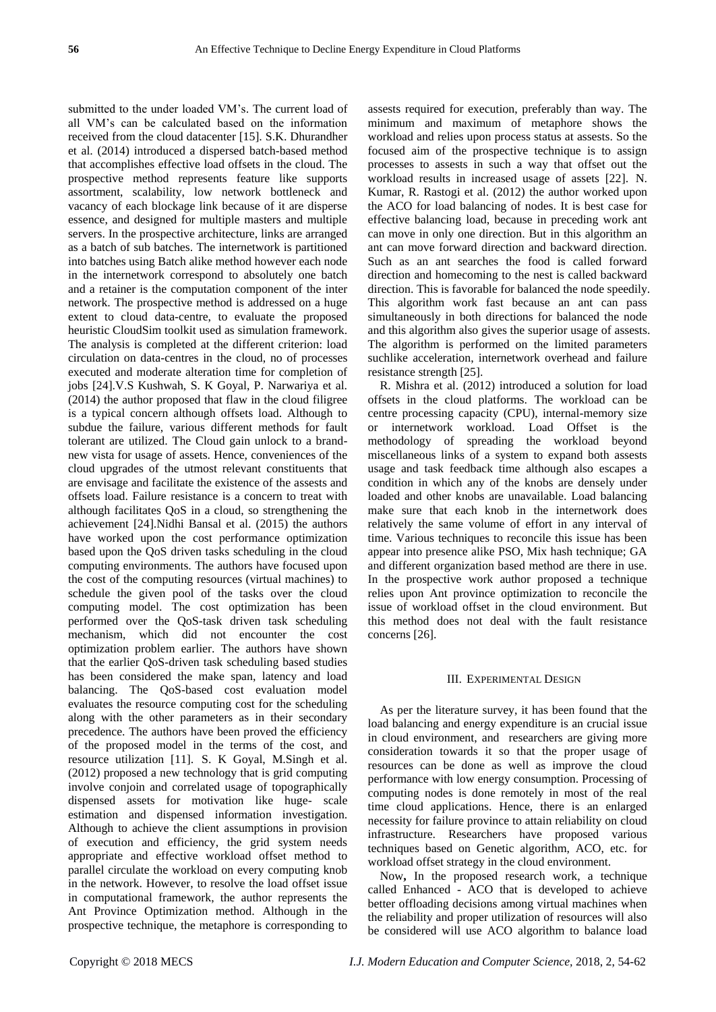submitted to the under loaded VM's. The current load of all VM's can be calculated based on the information received from the cloud datacenter [15]. S.K. Dhurandher et al. (2014) introduced a dispersed batch-based method that accomplishes effective load offsets in the cloud. The prospective method represents feature like supports assortment, scalability, low network bottleneck and vacancy of each blockage link because of it are disperse essence, and designed for multiple masters and multiple servers. In the prospective architecture, links are arranged as a batch of sub batches. The internetwork is partitioned into batches using Batch alike method however each node in the internetwork correspond to absolutely one batch and a retainer is the computation component of the inter network. The prospective method is addressed on a huge extent to cloud data-centre, to evaluate the proposed heuristic CloudSim toolkit used as simulation framework. The analysis is completed at the different criterion: load circulation on data-centres in the cloud, no of processes executed and moderate alteration time for completion of jobs [24].V.S Kushwah, S. K Goyal, P. Narwariya et al. (2014) the author proposed that flaw in the cloud filigree is a typical concern although offsets load. Although to subdue the failure, various different methods for fault tolerant are utilized. The Cloud gain unlock to a brandnew vista for usage of assets. Hence, conveniences of the cloud upgrades of the utmost relevant constituents that are envisage and facilitate the existence of the assests and offsets load. Failure resistance is a concern to treat with although facilitates QoS in a cloud, so strengthening the achievement [24].Nidhi Bansal et al. (2015) the authors have worked upon the cost performance optimization based upon the QoS driven tasks scheduling in the cloud computing environments. The authors have focused upon the cost of the computing resources (virtual machines) to schedule the given pool of the tasks over the cloud computing model. The cost optimization has been performed over the QoS-task driven task scheduling mechanism, which did not encounter the cost optimization problem earlier. The authors have shown that the earlier QoS-driven task scheduling based studies has been considered the make span, latency and load balancing. The QoS-based cost evaluation model evaluates the resource computing cost for the scheduling along with the other parameters as in their secondary precedence. The authors have been proved the efficiency of the proposed model in the terms of the cost, and resource utilization [11]. S. K Goyal, M.Singh et al. (2012) proposed a new technology that is grid computing involve conjoin and correlated usage of topographically dispensed assets for motivation like huge- scale estimation and dispensed information investigation. Although to achieve the client assumptions in provision of execution and efficiency, the grid system needs appropriate and effective workload offset method to parallel circulate the workload on every computing knob in the network. However, to resolve the load offset issue in computational framework, the author represents the Ant Province Optimization method. Although in the prospective technique, the metaphore is corresponding to

assests required for execution, preferably than way. The minimum and maximum of metaphore shows the workload and relies upon process status at assests. So the focused aim of the prospective technique is to assign processes to assests in such a way that offset out the workload results in increased usage of assets [22]. N. Kumar, R. Rastogi et al. (2012) the author worked upon the ACO for load balancing of nodes. It is best case for effective balancing load, because in preceding work ant can move in only one direction. But in this algorithm an ant can move forward direction and backward direction. Such as an ant searches the food is called forward direction and homecoming to the nest is called backward direction. This is favorable for balanced the node speedily. This algorithm work fast because an ant can pass simultaneously in both directions for balanced the node and this algorithm also gives the superior usage of assests. The algorithm is performed on the limited parameters suchlike acceleration, internetwork overhead and failure resistance strength [25].

R. Mishra et al. (2012) introduced a solution for load offsets in the cloud platforms. The workload can be centre processing capacity (CPU), internal-memory size or internetwork workload. Load Offset is the methodology of spreading the workload beyond miscellaneous links of a system to expand both assests usage and task feedback time although also escapes a condition in which any of the knobs are densely under loaded and other knobs are unavailable. Load balancing make sure that each knob in the internetwork does relatively the same volume of effort in any interval of time. Various techniques to reconcile this issue has been appear into presence alike PSO, Mix hash technique; GA and different organization based method are there in use. In the prospective work author proposed a technique relies upon Ant province optimization to reconcile the issue of workload offset in the cloud environment*.* But this method does not deal with the fault resistance concerns [26].

# III. EXPERIMENTAL DESIGN

As per the literature survey, it has been found that the load balancing and energy expenditure is an crucial issue in cloud environment, and researchers are giving more consideration towards it so that the proper usage of resources can be done as well as improve the cloud performance with low energy consumption. Processing of computing nodes is done remotely in most of the real time cloud applications. Hence, there is an enlarged necessity for failure province to attain reliability on cloud infrastructure. Researchers have proposed various techniques based on Genetic algorithm, ACO, etc. for workload offset strategy in the cloud environment.

Now**,** In the proposed research work, a technique called Enhanced - ACO that is developed to achieve better offloading decisions among virtual machines when the reliability and proper utilization of resources will also be considered will use ACO algorithm to balance load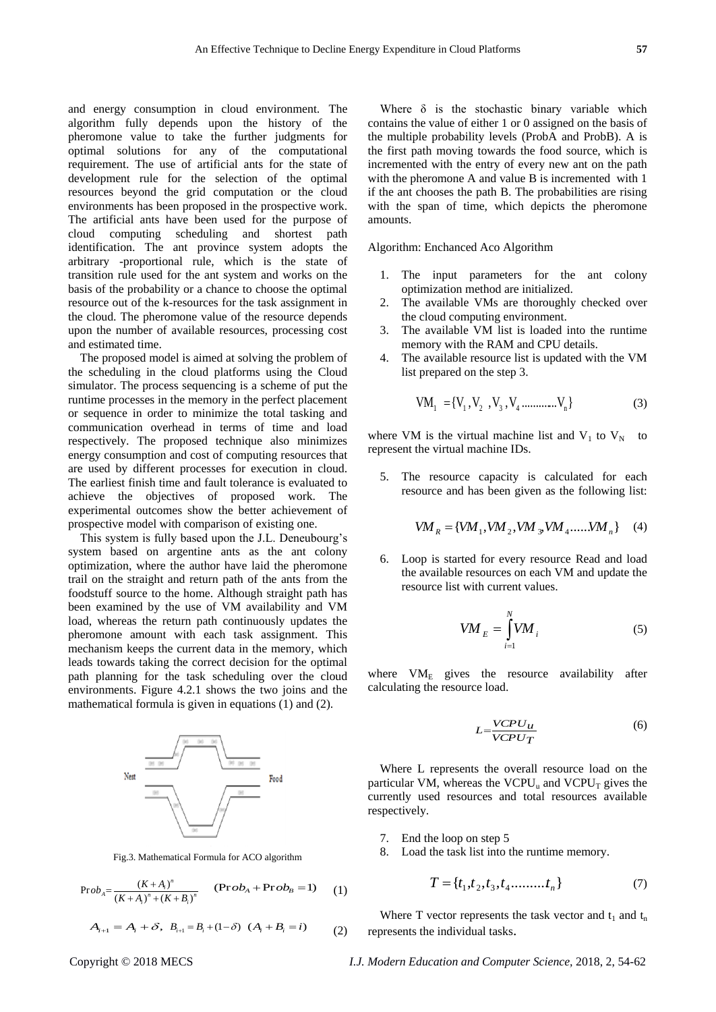and energy consumption in cloud environment. The algorithm fully depends upon the history of the pheromone value to take the further judgments for optimal solutions for any of the computational requirement. The use of artificial ants for the state of development rule for the selection of the optimal resources beyond the grid computation or the cloud environments has been proposed in the prospective work. The artificial ants have been used for the purpose of cloud computing scheduling and shortest path identification. The ant province system adopts the arbitrary -proportional rule, which is the state of transition rule used for the ant system and works on the basis of the probability or a chance to choose the optimal resource out of the k-resources for the task assignment in the cloud. The pheromone value of the resource depends upon the number of available resources, processing cost and estimated time.

The proposed model is aimed at solving the problem of the scheduling in the cloud platforms using the Cloud simulator. The process sequencing is a scheme of put the runtime processes in the memory in the perfect placement or sequence in order to minimize the total tasking and communication overhead in terms of time and load respectively. The proposed technique also minimizes energy consumption and cost of computing resources that are used by different processes for execution in cloud. The earliest finish time and fault tolerance is evaluated to achieve the objectives of proposed work. The experimental outcomes show the better achievement of prospective model with comparison of existing one.

This system is fully based upon the J.L. Deneubourg's system based on argentine ants as the ant colony optimization, where the author have laid the pheromone trail on the straight and return path of the ants from the foodstuff source to the home. Although straight path has been examined by the use of VM availability and VM load, whereas the return path continuously updates the pheromone amount with each task assignment. This mechanism keeps the current data in the memory, which leads towards taking the correct decision for the optimal path planning for the task scheduling over the cloud environments. Figure 4.2.1 shows the two joins and the mathematical formula is given in equations (1) and (2).



Fig.3. Mathematical Formula for ACO algorithm

$$
Prob_{A} = \frac{(K + A_{i})^{n}}{(K + A_{i})^{n} + (K + B_{i})^{n}} \qquad (Prob_{A} + Prob_{B} = 1) \qquad (1)
$$

$$
A_{i+1} = A_i + \delta, \ B_{i+1} = B_i + (1 - \delta) \ (A_i + B_i = i) \tag{2}
$$

Where  $\delta$  is the stochastic binary variable which contains the value of either 1 or 0 assigned on the basis of the multiple probability levels (ProbA and ProbB). A is the first path moving towards the food source, which is incremented with the entry of every new ant on the path with the pheromone A and value B is incremented with 1 if the ant chooses the path B. The probabilities are rising with the span of time, which depicts the pheromone amounts.

Algorithm: Enchanced Aco Algorithm

- 1. The input parameters for the ant colony optimization method are initialized.
- 2. The available VMs are thoroughly checked over the cloud computing environment.
- 3. The available VM list is loaded into the runtime memory with the RAM and CPU details.
- 4. The available resource list is updated with the VM list prepared on the step 3.

$$
VM_1 = \{V_1, V_2, V_3, V_4 \dots \dots \dots \dots V_n\}
$$
 (3)

where VM is the virtual machine list and  $V_1$  to  $V_N$  to represent the virtual machine IDs.

5. The resource capacity is calculated for each resource and has been given as the following list:

$$
VM_R = \{VM_1, VM_2, VM_3, VM_4, \ldots, VM_n\}
$$
 (4)

6. Loop is started for every resource Read and load the available resources on each VM and update the resource list with current values.

$$
VM_{E} = \int_{i=1}^{N} VM_{i}
$$
 (5)

where  $VM<sub>E</sub>$  gives the resource availability after calculating the resource load.

$$
L = \frac{VCPU_{\mu}}{VCPU_{T}} \tag{6}
$$

Where L represents the overall resource load on the particular VM, whereas the  $VCPU_u$  and  $VCPU_T$  gives the currently used resources and total resources available respectively.

- 7. End the loop on step 5
- 8. Load the task list into the runtime memory.

$$
T = \{t_1, t_2, t_3, t_4, \dots, t_n\}
$$
 (7)

Where T vector represents the task vector and  $t_1$  and  $t_n$ represents the individual tasks.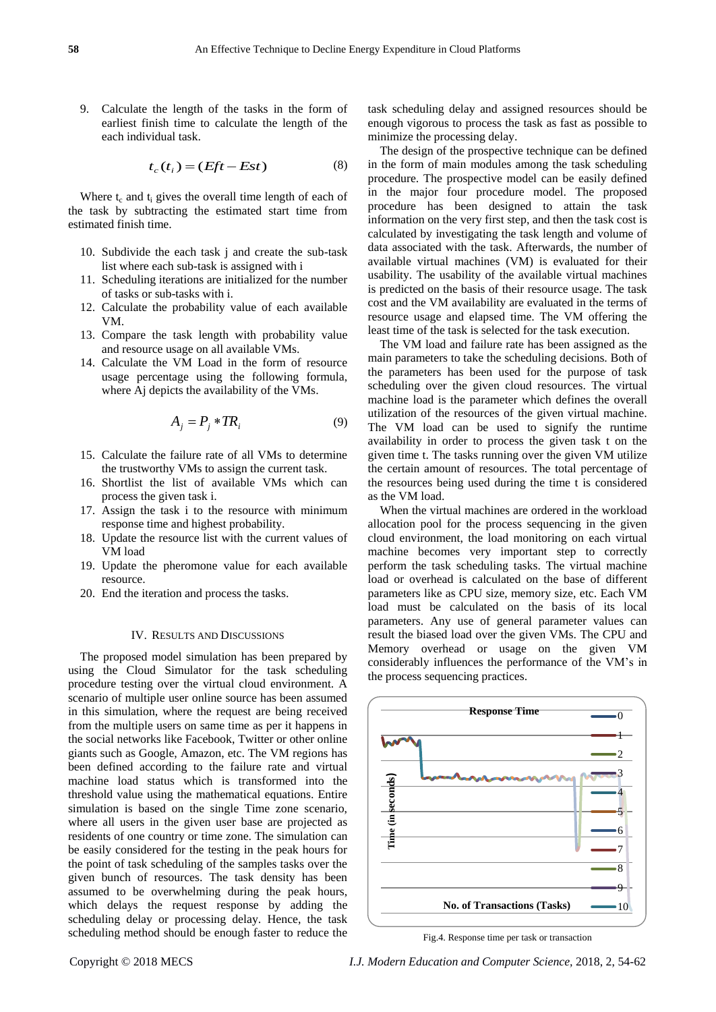9. Calculate the length of the tasks in the form of earliest finish time to calculate the length of the each individual task.

$$
t_c(t_i) = (Eft - Est)
$$
 (8)

Where  $t_c$  and  $t_i$  gives the overall time length of each of the task by subtracting the estimated start time from estimated finish time.

- 10. Subdivide the each task j and create the sub-task list where each sub-task is assigned with i
- 11. Scheduling iterations are initialized for the number of tasks or sub-tasks with i.
- 12. Calculate the probability value of each available VM.
- 13. Compare the task length with probability value and resource usage on all available VMs.
- 14. Calculate the VM Load in the form of resource usage percentage using the following formula, where Aj depicts the availability of the VMs.

$$
A_j = P_j * T R_i \tag{9}
$$

- 15. Calculate the failure rate of all VMs to determine the trustworthy VMs to assign the current task.
- 16. Shortlist the list of available VMs which can process the given task i.
- 17. Assign the task i to the resource with minimum response time and highest probability.
- 18. Update the resource list with the current values of VM load
- 19. Update the pheromone value for each available resource.
- 20. End the iteration and process the tasks.

#### IV. RESULTS AND DISCUSSIONS

The proposed model simulation has been prepared by using the Cloud Simulator for the task scheduling procedure testing over the virtual cloud environment. A scenario of multiple user online source has been assumed in this simulation, where the request are being received from the multiple users on same time as per it happens in the social networks like Facebook, Twitter or other online giants such as Google, Amazon, etc. The VM regions has been defined according to the failure rate and virtual machine load status which is transformed into the threshold value using the mathematical equations. Entire simulation is based on the single Time zone scenario, where all users in the given user base are projected as residents of one country or time zone. The simulation can be easily considered for the testing in the peak hours for the point of task scheduling of the samples tasks over the given bunch of resources. The task density has been assumed to be overwhelming during the peak hours, which delays the request response by adding the scheduling delay or processing delay. Hence, the task scheduling method should be enough faster to reduce the

task scheduling delay and assigned resources should be enough vigorous to process the task as fast as possible to minimize the processing delay.

The design of the prospective technique can be defined in the form of main modules among the task scheduling procedure. The prospective model can be easily defined in the major four procedure model. The proposed procedure has been designed to attain the task information on the very first step, and then the task cost is calculated by investigating the task length and volume of data associated with the task. Afterwards, the number of available virtual machines (VM) is evaluated for their usability. The usability of the available virtual machines is predicted on the basis of their resource usage. The task cost and the VM availability are evaluated in the terms of resource usage and elapsed time. The VM offering the least time of the task is selected for the task execution.

The VM load and failure rate has been assigned as the main parameters to take the scheduling decisions. Both of the parameters has been used for the purpose of task scheduling over the given cloud resources. The virtual machine load is the parameter which defines the overall utilization of the resources of the given virtual machine. The VM load can be used to signify the runtime availability in order to process the given task t on the given time t. The tasks running over the given VM utilize the certain amount of resources. The total percentage of the resources being used during the time t is considered as the VM load.

When the virtual machines are ordered in the workload allocation pool for the process sequencing in the given cloud environment, the load monitoring on each virtual machine becomes very important step to correctly perform the task scheduling tasks. The virtual machine load or overhead is calculated on the base of different parameters like as CPU size, memory size, etc. Each VM load must be calculated on the basis of its local parameters. Any use of general parameter values can result the biased load over the given VMs. The CPU and Memory overhead or usage on the given VM considerably influences the performance of the VM's in the process sequencing practices.



Fig.4. Response time per task or transaction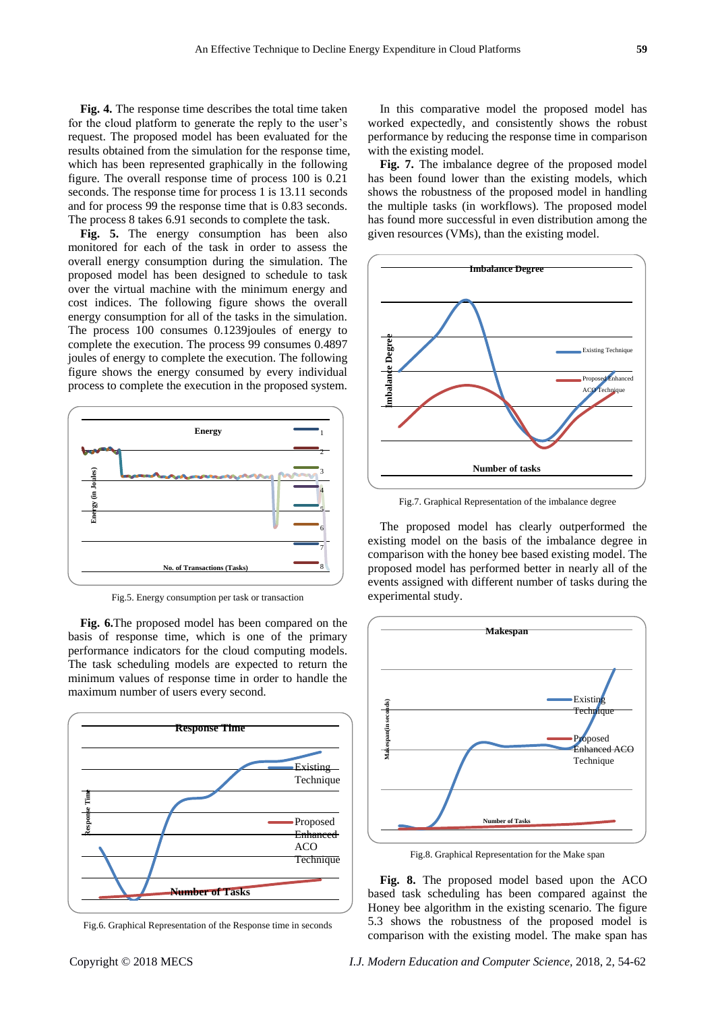**Fig. 4.** The response time describes the total time taken for the cloud platform to generate the reply to the user's request. The proposed model has been evaluated for the results obtained from the simulation for the response time, which has been represented graphically in the following figure. The overall response time of process 100 is 0.21 seconds. The response time for process 1 is 13.11 seconds and for process 99 the response time that is 0.83 seconds. The process 8 takes 6.91 seconds to complete the task.

**Fig. 5.** The energy consumption has been also monitored for each of the task in order to assess the overall energy consumption during the simulation. The proposed model has been designed to schedule to task over the virtual machine with the minimum energy and cost indices. The following figure shows the overall energy consumption for all of the tasks in the simulation. The process 100 consumes 0.1239joules of energy to complete the execution. The process 99 consumes 0.4897 joules of energy to complete the execution. The following figure shows the energy consumed by every individual process to complete the execution in the proposed system.



Fig.5. Energy consumption per task or transaction

**Fig. 6.**The proposed model has been compared on the basis of response time, which is one of the primary performance indicators for the cloud computing models. The task scheduling models are expected to return the minimum values of response time in order to handle the maximum number of users every second.



Fig.6. Graphical Representation of the Response time in seconds

In this comparative model the proposed model has worked expectedly, and consistently shows the robust performance by reducing the response time in comparison with the existing model.

**Fig. 7.** The imbalance degree of the proposed model has been found lower than the existing models, which shows the robustness of the proposed model in handling the multiple tasks (in workflows). The proposed model has found more successful in even distribution among the given resources (VMs), than the existing model.



Fig.7. Graphical Representation of the imbalance degree

The proposed model has clearly outperformed the existing model on the basis of the imbalance degree in comparison with the honey bee based existing model. The proposed model has performed better in nearly all of the events assigned with different number of tasks during the experimental study.



Fig.8. Graphical Representation for the Make span

**Fig. 8.** The proposed model based upon the ACO based task scheduling has been compared against the Honey bee algorithm in the existing scenario. The figure 5.3 shows the robustness of the proposed model is comparison with the existing model. The make span has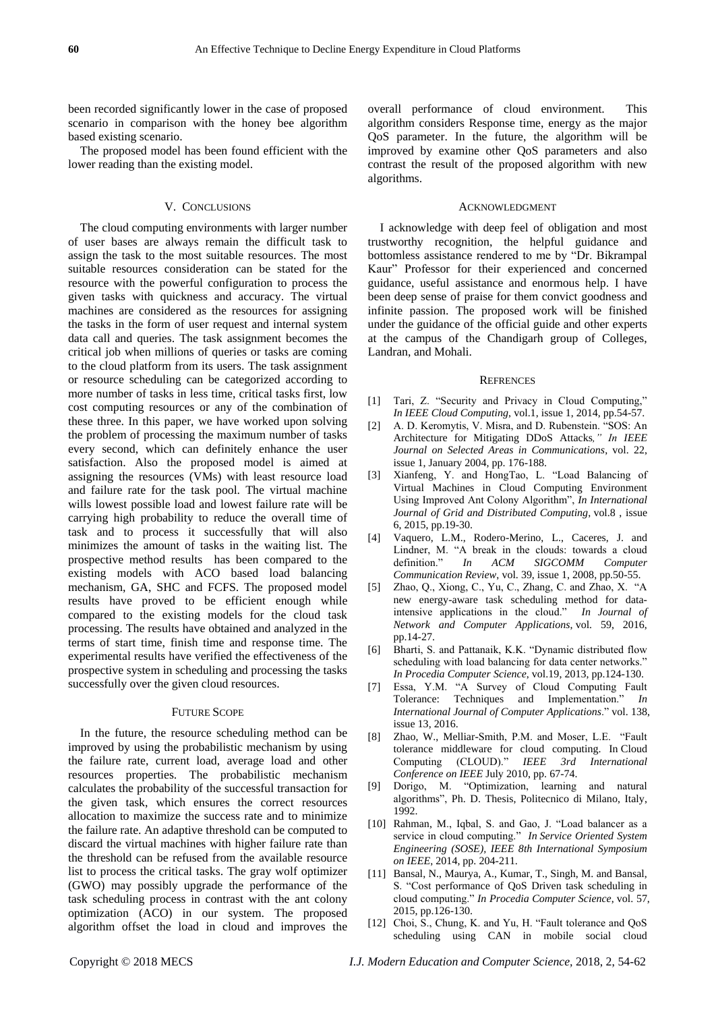been recorded significantly lower in the case of proposed scenario in comparison with the honey bee algorithm based existing scenario.

The proposed model has been found efficient with the lower reading than the existing model.

#### V. CONCLUSIONS

The cloud computing environments with larger number of user bases are always remain the difficult task to assign the task to the most suitable resources. The most suitable resources consideration can be stated for the resource with the powerful configuration to process the given tasks with quickness and accuracy. The virtual machines are considered as the resources for assigning the tasks in the form of user request and internal system data call and queries. The task assignment becomes the critical job when millions of queries or tasks are coming to the cloud platform from its users. The task assignment or resource scheduling can be categorized according to more number of tasks in less time, critical tasks first, low cost computing resources or any of the combination of these three. In this paper, we have worked upon solving the problem of processing the maximum number of tasks every second, which can definitely enhance the user satisfaction. Also the proposed model is aimed at assigning the resources (VMs) with least resource load and failure rate for the task pool. The virtual machine wills lowest possible load and lowest failure rate will be carrying high probability to reduce the overall time of task and to process it successfully that will also minimizes the amount of tasks in the waiting list. The prospective method results has been compared to the existing models with ACO based load balancing mechanism, GA, SHC and FCFS. The proposed model results have proved to be efficient enough while compared to the existing models for the cloud task processing. The results have obtained and analyzed in the terms of start time, finish time and response time. The experimental results have verified the effectiveness of the prospective system in scheduling and processing the tasks successfully over the given cloud resources.

#### FUTURE SCOPE

In the future, the resource scheduling method can be improved by using the probabilistic mechanism by using the failure rate, current load, average load and other resources properties. The probabilistic mechanism calculates the probability of the successful transaction for the given task, which ensures the correct resources allocation to maximize the success rate and to minimize the failure rate. An adaptive threshold can be computed to discard the virtual machines with higher failure rate than the threshold can be refused from the available resource list to process the critical tasks. The gray wolf optimizer (GWO) may possibly upgrade the performance of the task scheduling process in contrast with the ant colony optimization (ACO) in our system. The proposed algorithm offset the load in cloud and improves the

overall performance of cloud environment. This algorithm considers Response time, energy as the major QoS parameter. In the future, the algorithm will be improved by examine other QoS parameters and also contrast the result of the proposed algorithm with new algorithms.

#### ACKNOWLEDGMENT

I acknowledge with deep feel of obligation and most trustworthy recognition, the helpful guidance and bottomless assistance rendered to me by "Dr. Bikrampal Kaur" Professor for their experienced and concerned guidance, useful assistance and enormous help. I have been deep sense of praise for them convict goodness and infinite passion. The proposed work will be finished under the guidance of the official guide and other experts at the campus of the Chandigarh group of Colleges, Landran, and Mohali.

#### **REFRENCES**

- [1] Tari, Z. "Security and Privacy in Cloud Computing," *In IEEE Cloud Computing*, vol.1, issue 1, 2014, pp.54-57.
- [2] A. D. Keromytis, V. Misra, and D. Rubenstein. "SOS: An Architecture for Mitigating DDoS Attacks*," In IEEE Journal on Selected Areas in Communications*, vol. 22, issue 1, January 2004, pp. 176-188.
- [3] Xianfeng, Y. and HongTao, L. "Load Balancing of Virtual Machines in Cloud Computing Environment Using Improved Ant Colony Algorithm", *In International Journal of Grid and Distributed Computing*, vol.8 , issue 6, 2015, pp.19-30.
- [4] Vaquero, L.M., Rodero-Merino, L., Caceres, J. and Lindner, M. "A break in the clouds: towards a cloud definition." *In ACM SIGCOMM Computer Communication Review*, vol. 39, issue 1, 2008, pp.50-55.
- [5] Zhao, Q., Xiong, C., Yu, C., Zhang, C. and Zhao, X. "A new energy-aware task scheduling method for dataintensive applications in the cloud." *In Journal of Network and Computer Applications*, vol. 59, 2016, pp.14-27.
- [6] Bharti, S. and Pattanaik, K.K. "Dynamic distributed flow scheduling with load balancing for data center networks." *In Procedia Computer Science*, vol.19, 2013, pp.124-130.
- [7] Essa, Y.M. "A Survey of Cloud Computing Fault Tolerance: Techniques and Implementation." *In International Journal of Computer Applications*." vol. 138, issue 13, 2016.
- [8] Zhao, W., Melliar-Smith, P.M. and Moser, L.E. "Fault tolerance middleware for cloud computing. In Cloud Computing (CLOUD)." *IEEE 3rd International Conference on IEEE* July 2010, pp. 67-74.
- [9] Dorigo, M. "Optimization, learning and natural algorithms", Ph. D. Thesis, Politecnico di Milano, Italy, 1992.
- [10] Rahman, M., Iqbal, S. and Gao, J. "Load balancer as a service in cloud computing." *In Service Oriented System Engineering (SOSE), IEEE 8th International Symposium on IEEE*, 2014, pp. 204-211.
- [11] Bansal, N., Maurya, A., Kumar, T., Singh, M. and Bansal, S. "Cost performance of QoS Driven task scheduling in cloud computing." *In Procedia Computer Science*, vol. 57, 2015, pp.126-130.
- [12] Choi, S., Chung, K. and Yu, H. "Fault tolerance and QoS scheduling using CAN in mobile social cloud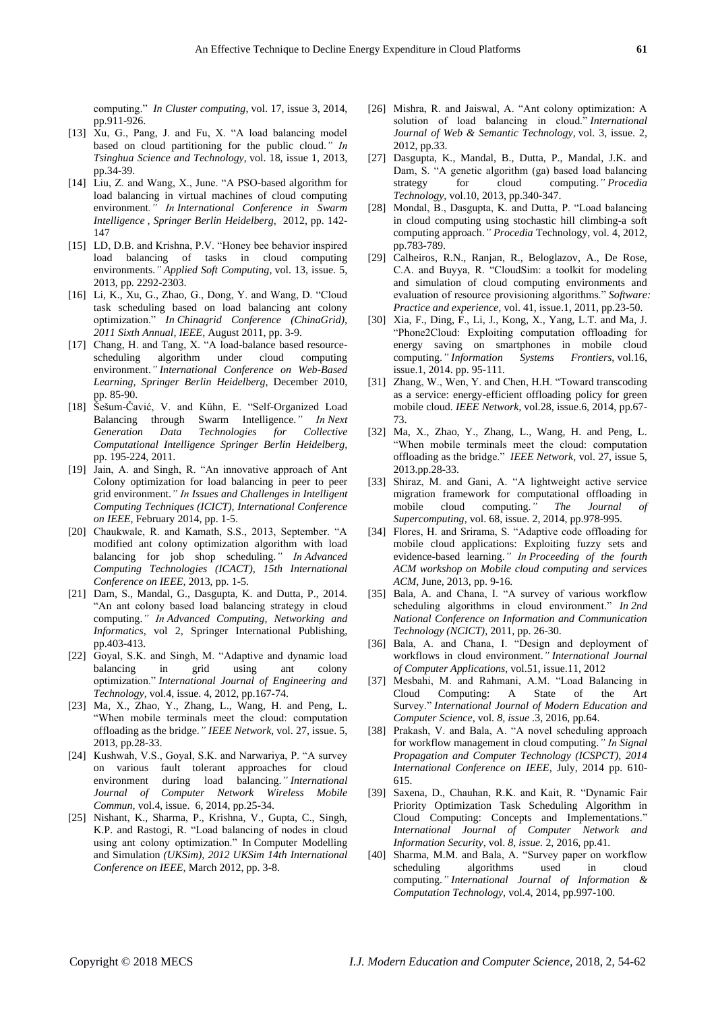computing." *In Cluster computing*, vol. 17, issue 3, 2014, pp.911-926.

- [13] Xu, G., Pang, J. and Fu, X. "A load balancing model based on cloud partitioning for the public cloud.*" In Tsinghua Science and Technology,* vol. 18, issue 1, 2013, pp.34-39.
- [14] Liu, Z. and Wang, X., June. "A PSO-based algorithm for load balancing in virtual machines of cloud computing environment*." In International Conference in Swarm Intelligence , Springer Berlin Heidelberg,* 2012, pp. 142- 147
- [15] LD, D.B. and Krishna, P.V. "Honey bee behavior inspired load balancing of tasks in cloud computing environments.*" Applied Soft Computing,* vol. 13, issue. 5, 2013, pp. 2292-2303.
- [16] Li, K., Xu, G., Zhao, G., Dong, Y. and Wang, D. "Cloud task scheduling based on load balancing ant colony optimization." *In Chinagrid Conference (ChinaGrid), 2011 Sixth Annual, IEEE,* August 2011, pp. 3-9.
- [17] Chang, H. and Tang, X. "A load-balance based resourcescheduling algorithm under cloud computing environment.*" International Conference on Web-Based Learning, Springer Berlin Heidelberg,* December 2010, pp. 85-90.
- [18] Šešum-Čavić, V. and Kühn, E. "Self-Organized Load Balancing through Swarm Intelligence.*" In Next Generation Data Technologies for Collective Computational Intelligence Springer Berlin Heidelberg,*  pp. 195-224, 2011.
- [19] Jain, A. and Singh, R. "An innovative approach of Ant Colony optimization for load balancing in peer to peer grid environment.*" In Issues and Challenges in Intelligent Computing Techniques (ICICT), International Conference on IEEE,* February 2014, pp. 1-5.
- [20] Chaukwale, R. and Kamath, S.S., 2013, September. "A modified ant colony optimization algorithm with load balancing for job shop scheduling.*" In Advanced Computing Technologies (ICACT), 15th International Conference on IEEE,* 2013, pp. 1-5.
- [21] Dam, S., Mandal, G., Dasgupta, K. and Dutta, P., 2014. "An ant colony based load balancing strategy in cloud computing.*" In Advanced Computing, Networking and Informatics,* vol 2, Springer International Publishing, pp.403-413.
- [22] Goyal, S.K. and Singh, M. "Adaptive and dynamic load balancing in grid using ant colony optimization." *International Journal of Engineering and Technology,* vol.4, issue. 4, 2012, pp.167-74.
- [23] Ma, X., Zhao, Y., Zhang, L., Wang, H. and Peng, L. "When mobile terminals meet the cloud: computation offloading as the bridge.*" IEEE Network,* vol. 27, issue. 5, 2013, pp.28-33.
- [24] Kushwah, V.S., Goyal, S.K. and Narwariya, P. "A survey on various fault tolerant approaches for cloud environment during load balancing.*" International Journal of Computer Network Wireless Mobile Commun,* vol.4, issue. 6, 2014, pp.25-34.
- [25] Nishant, K., Sharma, P., Krishna, V., Gupta, C., Singh, K.P. and Rastogi, R. "Load balancing of nodes in cloud using ant colony optimization." In Computer Modelling and Simulation *(UKSim), 2012 UKSim 14th International Conference on IEEE,* March 2012, pp. 3-8.
- [26] Mishra, R. and Jaiswal, A. "Ant colony optimization: A solution of load balancing in cloud." *International Journal of Web & Semantic Technology,* vol. 3, issue. 2, 2012, pp.33.
- [27] Dasgupta, K., Mandal, B., Dutta, P., Mandal, J.K. and Dam, S. "A genetic algorithm (ga) based load balancing<br>strategy for cloud computing." Procedia for cloud computing.*" Procedia Technology,* vol.10, 2013, pp.340-347.
- [28] Mondal, B., Dasgupta, K. and Dutta, P. "Load balancing in cloud computing using stochastic hill climbing-a soft computing approach.*" Procedia* Technology, vol. 4, 2012, pp.783-789.
- [29] Calheiros, R.N., Ranjan, R., Beloglazov, A., De Rose, C.A. and Buyya, R. "CloudSim: a toolkit for modeling and simulation of cloud computing environments and evaluation of resource provisioning algorithms." *Software: Practice and experience,* vol. 41, issue.1, 2011, pp.23-50.
- [30] Xia, F., Ding, F., Li, J., Kong, X., Yang, L.T. and Ma, J. "Phone2Cloud: Exploiting computation offloading for energy saving on smartphones in mobile cloud computing.*" Information Systems Frontiers,* vol.16, issue.1, 2014. pp. 95-111*.*
- [31] Zhang, W., Wen, Y. and Chen, H.H. "Toward transcoding as a service: energy-efficient offloading policy for green mobile cloud. *IEEE Network,* vol.28, issue.6, 2014, pp.67- 73.
- [32] Ma, X., Zhao, Y., Zhang, L., Wang, H. and Peng, L. "When mobile terminals meet the cloud: computation offloading as the bridge." *IEEE Network,* vol. 27, issue 5, 2013.pp.28-33.
- [33] Shiraz, M. and Gani, A. "A lightweight active service migration framework for computational offloading in mobile cloud computing." The Journal of mobile cloud computing.*" The Journal of Supercomputing,* vol. 68, issue. 2, 2014, pp.978-995.
- [34] Flores, H. and Srirama, S. "Adaptive code offloading for mobile cloud applications: Exploiting fuzzy sets and evidence-based learning.*" In Proceeding of the fourth ACM workshop on Mobile cloud computing and services ACM,* June, 2013, pp. 9-16.
- [35] Bala, A. and Chana, I. "A survey of various workflow scheduling algorithms in cloud environment." *In 2nd National Conference on Information and Communication Technology (NCICT),* 2011, pp. 26-30.
- [36] Bala, A. and Chana, I. "Design and deployment of workflows in cloud environment.*" International Journal of Computer Applications,* vol.51, issue.11, 2012
- [37] Mesbahi, M. and Rahmani, A.M. "Load Balancing in Cloud Computing: A State of the Art Survey." *International Journal of Modern Education and Computer Science*, vol. *8, issue .*3, 2016, pp.64.
- [38] Prakash, V. and Bala, A. "A novel scheduling approach for workflow management in cloud computing.*" In Signal Propagation and Computer Technology (ICSPCT), 2014 International Conference on IEEE,* July, 2014 pp. 610- 615.
- [39] Saxena, D., Chauhan, R.K. and Kait, R. "Dynamic Fair Priority Optimization Task Scheduling Algorithm in Cloud Computing: Concepts and Implementations." *International Journal of Computer Network and Information Security*, vol. *8, issue.* 2, 2016, pp.41.
- [40] Sharma, M.M. and Bala, A. "Survey paper on workflow scheduling algorithms used in cloud computing.*" International Journal of Information & Computation Technology,* vol.4, 2014, pp.997-100.